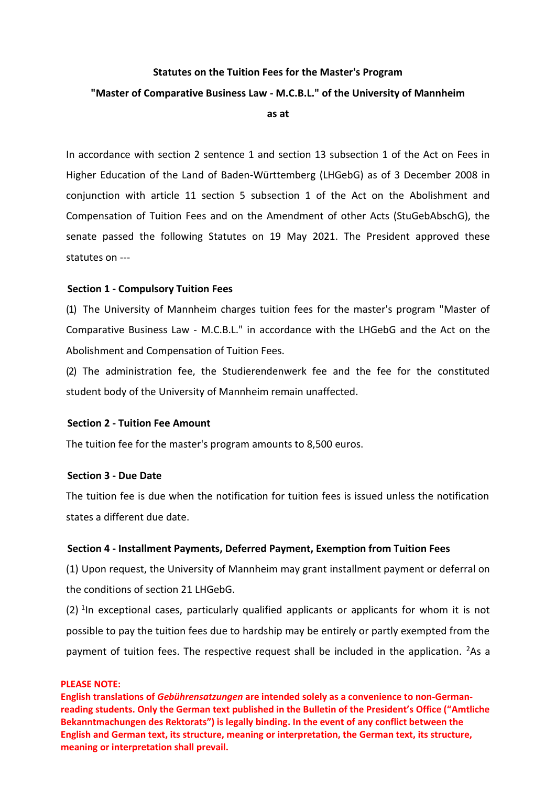# **Statutes on the Tuition Fees for the Master's Program "Master of Comparative Business Law - M.C.B.L." of the University of Mannheim as at**

In accordance with section 2 sentence 1 and section 13 subsection 1 of the Act on Fees in Higher Education of the Land of Baden-Württemberg (LHGebG) as of 3 December 2008 in conjunction with article 11 section 5 subsection 1 of the Act on the Abolishment and Compensation of Tuition Fees and on the Amendment of other Acts (StuGebAbschG), the senate passed the following Statutes on 19 May 2021. The President approved these statutes on ---

## **Section 1 - Compulsory Tuition Fees**

(1) The University of Mannheim charges tuition fees for the master's program "Master of Comparative Business Law - M.C.B.L." in accordance with the LHGebG and the Act on the Abolishment and Compensation of Tuition Fees.

(2) The administration fee, the Studierendenwerk fee and the fee for the constituted student body of the University of Mannheim remain unaffected.

### **Section 2 - Tuition Fee Amount**

The tuition fee for the master's program amounts to 8,500 euros.

## **Section 3 - Due Date**

The tuition fee is due when the notification for tuition fees is issued unless the notification states a different due date.

### **Section 4 - Installment Payments, Deferred Payment, Exemption from Tuition Fees**

(1) Upon request, the University of Mannheim may grant installment payment or deferral on the conditions of section 21 LHGebG.

 $(2)$  <sup>1</sup>In exceptional cases, particularly qualified applicants or applicants for whom it is not possible to pay the tuition fees due to hardship may be entirely or partly exempted from the payment of tuition fees. The respective request shall be included in the application.  $2$ As a

#### **PLEASE NOTE:**

**English translations of** *Gebührensatzungen* **are intended solely as a convenience to non-Germanreading students. Only the German text published in the Bulletin of the President's Office ("Amtliche Bekanntmachungen des Rektorats") is legally binding. In the event of any conflict between the English and German text, its structure, meaning or interpretation, the German text, its structure, meaning or interpretation shall prevail.**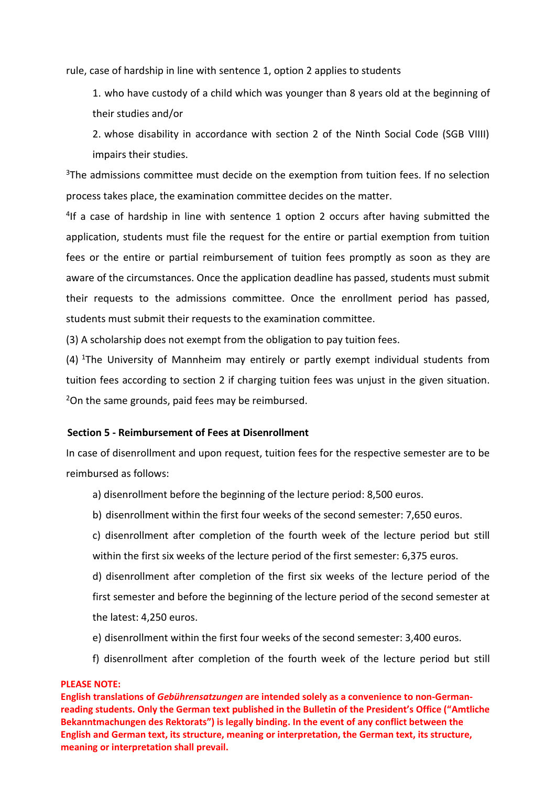rule, case of hardship in line with sentence 1, option 2 applies to students

1. who have custody of a child which was younger than 8 years old at the beginning of their studies and/or

2. whose disability in accordance with section 2 of the Ninth Social Code (SGB VIIII) impairs their studies.

<sup>3</sup>The admissions committee must decide on the exemption from tuition fees. If no selection process takes place, the examination committee decides on the matter.

<sup>4</sup>If a case of hardship in line with sentence 1 option 2 occurs after having submitted the application, students must file the request for the entire or partial exemption from tuition fees or the entire or partial reimbursement of tuition fees promptly as soon as they are aware of the circumstances. Once the application deadline has passed, students must submit their requests to the admissions committee. Once the enrollment period has passed, students must submit their requests to the examination committee.

(3) A scholarship does not exempt from the obligation to pay tuition fees.

(4) <sup>1</sup>The University of Mannheim may entirely or partly exempt individual students from tuition fees according to section 2 if charging tuition fees was unjust in the given situation. <sup>2</sup>On the same grounds, paid fees may be reimbursed.

### **Section 5 - Reimbursement of Fees at Disenrollment**

In case of disenrollment and upon request, tuition fees for the respective semester are to be reimbursed as follows:

a) disenrollment before the beginning of the lecture period: 8,500 euros.

b) disenrollment within the first four weeks of the second semester: 7,650 euros.

c) disenrollment after completion of the fourth week of the lecture period but still within the first six weeks of the lecture period of the first semester: 6,375 euros.

d) disenrollment after completion of the first six weeks of the lecture period of the first semester and before the beginning of the lecture period of the second semester at the latest: 4,250 euros.

e) disenrollment within the first four weeks of the second semester: 3,400 euros.

f) disenrollment after completion of the fourth week of the lecture period but still

### **PLEASE NOTE:**

**English translations of** *Gebührensatzungen* **are intended solely as a convenience to non-Germanreading students. Only the German text published in the Bulletin of the President's Office ("Amtliche Bekanntmachungen des Rektorats") is legally binding. In the event of any conflict between the English and German text, its structure, meaning or interpretation, the German text, its structure, meaning or interpretation shall prevail.**